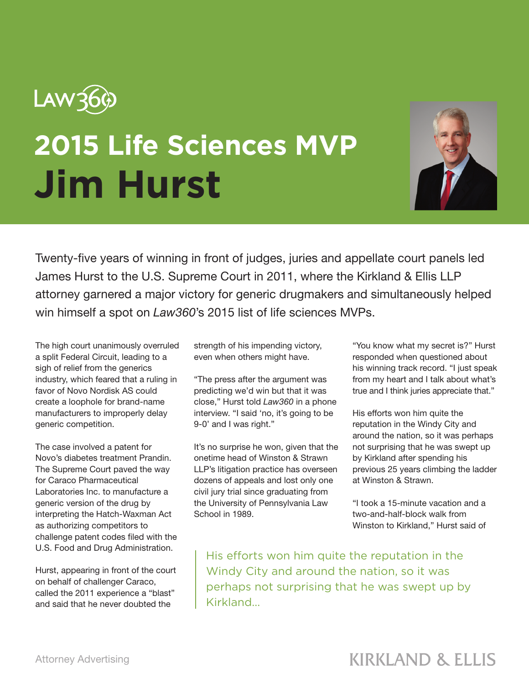

## **2015 Life Sciences MVP Jim Hurst**



Twenty-five years of winning in front of judges, juries and appellate court panels led James Hurst to the U.S. Supreme Court in 2011, where the Kirkland & Ellis LLP attorney garnered a major victory for generic drugmakers and simultaneously helped win himself a spot on *Law360*'s 2015 list of life sciences MVPs.

The high court unanimously overruled a split Federal Circuit, leading to a sigh of relief from the generics industry, which feared that a ruling in favor of Novo Nordisk AS could create a loophole for brand-name manufacturers to improperly delay generic competition.

The case involved a patent for Novo's diabetes treatment Prandin. The Supreme Court paved the way for Caraco Pharmaceutical Laboratories Inc. to manufacture a generic version of the drug by interpreting the Hatch-Waxman Act as authorizing competitors to challenge patent codes filed with the U.S. Food and Drug Administration.

Hurst, appearing in front of the court on behalf of challenger Caraco, called the 2011 experience a "blast" and said that he never doubted the

strength of his impending victory, even when others might have.

"The press after the argument was predicting we'd win but that it was close," Hurst told *Law360* in a phone interview. "I said 'no, it's going to be 9-0' and I was right."

It's no surprise he won, given that the onetime head of Winston & Strawn LLP's litigation practice has overseen dozens of appeals and lost only one civil jury trial since graduating from the University of Pennsylvania Law School in 1989.

"You know what my secret is?" Hurst responded when questioned about his winning track record. "I just speak from my heart and I talk about what's true and I think juries appreciate that."

His efforts won him quite the reputation in the Windy City and around the nation, so it was perhaps not surprising that he was swept up by Kirkland after spending his previous 25 years climbing the ladder at Winston & Strawn.

"I took a 15-minute vacation and a two-and-half-block walk from Winston to Kirkland," Hurst said of

His efforts won him quite the reputation in the Windy City and around the nation, so it was perhaps not surprising that he was swept up by Kirkland...